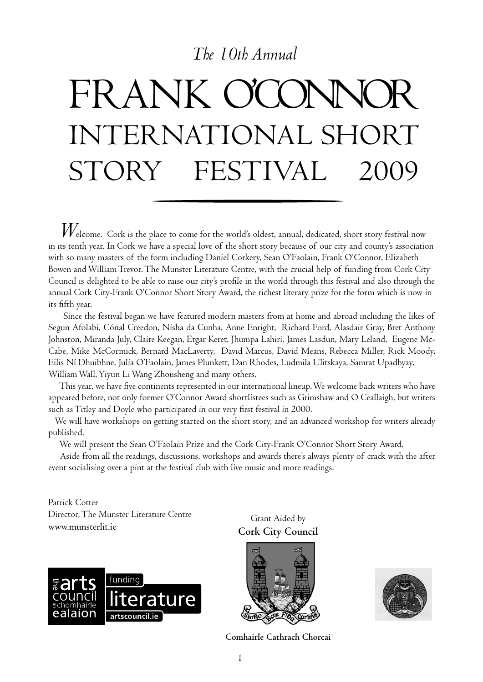# *The 10th Annual*

# FRANK O'CONNOR INTERNATIONAL SHORT STORY FESTIVAL 2009

 $W_{\textrm{elcome.}}$  Cork is the place to come for the world's oldest, annual, dedicated, short story festival now in its tenth year. In Cork we have a special love of the short story because of our city and county's association with so many masters of the form including Daniel Corkery, Sean O'Faolain, Frank O'Connor, Elizabeth Bowen and William Trevor. The Munster Literature Centre, with the crucial help of funding from Cork City Council is delighted to be able to raise our city's profile in the world through this festival and also through the annual Cork City-Frank O'Connor Short Story Award, the richest literary prize for the form which is now in its fifth year.

 Since the festival began we have featured modern masters from at home and abroad including the likes of Segun Afolabi, Cónal Creedon, Nisha da Cunha, Anne Enright, Richard Ford, Alasdair Gray, Bret Anthony Johnston, Miranda July, Claire Keegan, Etgar Keret, Jhumpa Lahiri, James Lasdun, Mary Leland, Eugene Mc-Cabe, Mike McCormick, Bernard MacLaverty, David Marcus, David Means, Rebecca Miller, Rick Moody, Eilis Ní Dhuibhne, Julia O'Faolain, James Plunkett, Dan Rhodes, Ludmila Ulitskaya, Samrat Upadhyay, William Wall, Yiyun Li Wang Zhousheng and many others.

 This year, we have five continents represented in our international lineup. We welcome back writers who have appeared before, not only former O'Connor Award shortlistees such as Grimshaw and O Ceallaigh, but writers such as Titley and Doyle who participated in our very first festival in 2000.

 We will have workshops on getting started on the short story, and an advanced workshop for writers already published.

We will present the Sean O'Faolain Prize and the Cork City-Frank O'Connor Short Story Award.

 Aside from all the readings, discussions, workshops and awards there's always plenty of crack with the after event socialising over a pint at the festival club with live music and more readings.

Patrick Cotter Director, The Munster Literature Centre www.munsterlit.ie



Grant Aided by **Cork City Council**





**Comhairle Cathrach Chorcaí**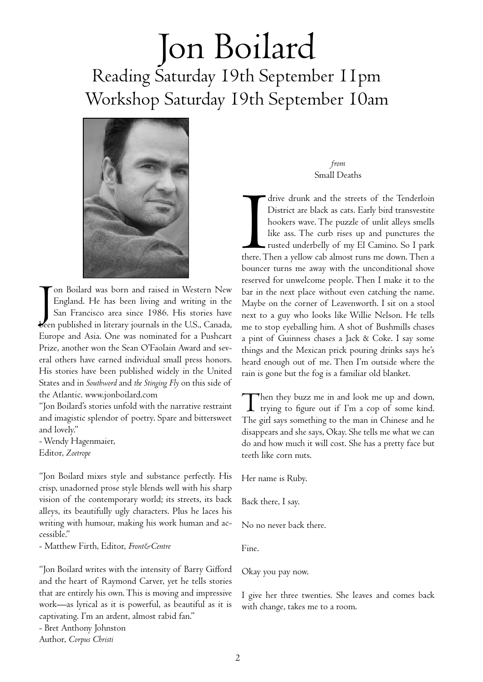# Jon Boilard Reading Saturday 19th September 11pm Workshop Saturday 19th September 10am



I on Boilard was born and raised in Western New<br>England. He has been living and writing in the<br>San Francisco area since 1986. His stories have<br>Jeen published in literary journals in the U.S., Canada, on Boilard was born and raised in Western New England. He has been living and writing in the San Francisco area since 1986. His stories have Europe and Asia. One was nominated for a Pushcart Prize, another won the Sean O'Faolain Award and several others have earned individual small press honors. His stories have been published widely in the United States and in *Southword* and *the Stinging Fly* on this side of the Atlantic. www.jonboilard.com

"Jon Boilard's stories unfold with the narrative restraint and imagistic splendor of poetry. Spare and bittersweet and lovely."

- Wendy Hagenmaier, Editor, *Zoetrope*

"Jon Boilard mixes style and substance perfectly. His crisp, unadorned prose style blends well with his sharp vision of the contemporary world; its streets, its back alleys, its beautifully ugly characters. Plus he laces his writing with humour, making his work human and accessible."

- Matthew Firth, Editor, *Front&Centre*

"Jon Boilard writes with the intensity of Barry Gifford and the heart of Raymond Carver, yet he tells stories that are entirely his own. This is moving and impressive work—as lyrical as it is powerful, as beautiful as it is captivating. I'm an ardent, almost rabid fan."

- Bret Anthony Johnston Author, *Corpus Christi*

*from* Small Deaths

drive drunk and the streets of the Tenderloin<br>District are black as cats. Early bird transvestite<br>hookers wave. The puzzle of unlit alleys smells<br>like ass. The curb rises up and punctures the<br>rusted underbelly of my El Cam District are black as cats. Early bird transvestite hookers wave. The puzzle of unlit alleys smells like ass. The curb rises up and punctures the rusted underbelly of my El Camino. So I park there. Then a yellow cab almost runs me down. Then a bouncer turns me away with the unconditional shove reserved for unwelcome people. Then I make it to the bar in the next place without even catching the name. Maybe on the corner of Leavenworth. I sit on a stool next to a guy who looks like Willie Nelson. He tells me to stop eyeballing him. A shot of Bushmills chases a pint of Guinness chases a Jack & Coke. I say some things and the Mexican prick pouring drinks says he's heard enough out of me. Then I'm outside where the rain is gone but the fog is a familiar old blanket.

Then they buzz me in and look me up and down,  $\perp$  trying to figure out if I'm a cop of some kind. The girl says something to the man in Chinese and he disappears and she says, Okay. She tells me what we can do and how much it will cost. She has a pretty face but teeth like corn nuts.

Her name is Ruby.

Back there, I say.

No no never back there.

Fine.

Okay you pay now.

I give her three twenties. She leaves and comes back with change, takes me to a room.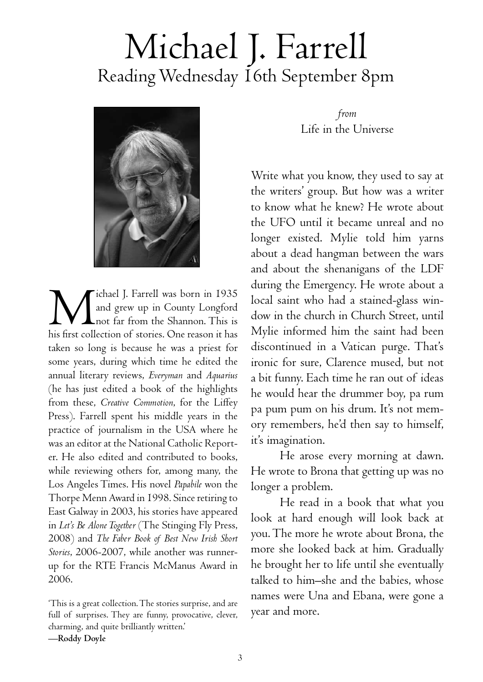# Michael J. Farrell Reading Wednesday 16th September 8pm



Michael J. Farrell was born in 1935<br>and grew up in County Longford<br>his first collection of stories. One reason it has and grew up in County Longford not far from the Shannon. This is taken so long is because he was a priest for some years, during which time he edited the annual literary reviews, *Everyman* and *Aquarius* (he has just edited a book of the highlights from these, *Creative Commotion*, for the Liffey Press). Farrell spent his middle years in the practice of journalism in the USA where he was an editor at the National Catholic Reporter. He also edited and contributed to books, while reviewing others for, among many, the Los Angeles Times. His novel *Papabile* won the Thorpe Menn Award in 1998. Since retiring to East Galway in 2003, his stories have appeared in *Let's Be Alone Together* (The Stinging Fly Press, 2008) and *The Faber Book of Best New Irish Short Stories*, 2006-2007, while another was runnerup for the RTE Francis McManus Award in 2006.

'This is a great collection. The stories surprise, and are full of surprises. They are funny, provocative, clever, charming, and quite brilliantly written.' —**Roddy Doyle**

*from* Life in the Universe

Write what you know, they used to say at the writers' group. But how was a writer to know what he knew? He wrote about the UFO until it became unreal and no longer existed. Mylie told him yarns about a dead hangman between the wars and about the shenanigans of the LDF during the Emergency. He wrote about a local saint who had a stained-glass window in the church in Church Street, until Mylie informed him the saint had been discontinued in a Vatican purge. That's ironic for sure, Clarence mused, but not a bit funny. Each time he ran out of ideas he would hear the drummer boy, pa rum pa pum pum on his drum. It's not memory remembers, he'd then say to himself, it's imagination.

He arose every morning at dawn. He wrote to Brona that getting up was no longer a problem.

He read in a book that what you look at hard enough will look back at you. The more he wrote about Brona, the more she looked back at him. Gradually he brought her to life until she eventually talked to him–she and the babies, whose names were Una and Ebana, were gone a year and more.

3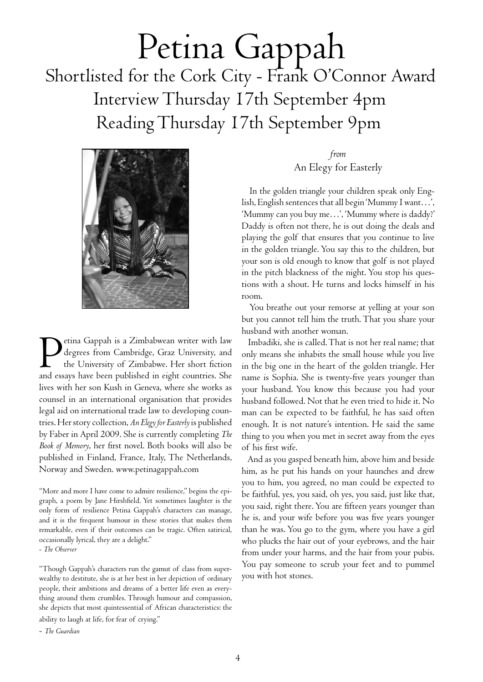# Petina Gappah<br>Shortlisted for the Cork City - Frank O'Connor Award Interview Thursday 17th September 4pm Reading Thursday 17th September 9pm



**Petina Gappah is a Zimbabwean writer with law**<br>degrees from Cambridge, Graz University, and<br>the University of Zimbabwe. Her short fiction<br>and essays have been published in eight countries. She degrees from Cambridge, Graz University, and the University of Zimbabwe. Her short fiction and essays have been published in eight countries. She lives with her son Kush in Geneva, where she works as counsel in an international organisation that provides legal aid on international trade law to developing countries. Her story collection, *An Elegy for Easterly* is published by Faber in April 2009. She is currently completing *The Book of Memory*, her first novel. Both books will also be published in Finland, France, Italy, The Netherlands, Norway and Sweden. www.petinagappah.com

"More and more I have come to admire resilience," begins the epigraph, a poem by Jane Hirshfield. Yet sometimes laughter is the only form of resilience Petina Gappah's characters can manage, and it is the frequent humour in these stories that makes them remarkable, even if their outcomes can be tragic. Often satirical, occasionally lyrical, they are a delight." - *The Observer*

"Though Gappah's characters run the gamut of class from superwealthy to destitute, she is at her best in her depiction of ordinary people, their ambitions and dreams of a better life even as everything around them crumbles. Through humour and compassion, she depicts that most quintessential of African characteristics: the ability to laugh at life, for fear of crying."

- *The Guardian*

*from* An Elegy for Easterly

 In the golden triangle your children speak only English, English sentences that all begin 'Mummy I want…', 'Mummy can you buy me…', 'Mummy where is daddy?' Daddy is often not there, he is out doing the deals and playing the golf that ensures that you continue to live in the golden triangle. You say this to the children, but your son is old enough to know that golf is not played in the pitch blackness of the night. You stop his questions with a shout. He turns and locks himself in his room.

 You breathe out your remorse at yelling at your son but you cannot tell him the truth. That you share your husband with another woman.

 Imbadiki, she is called. That is not her real name; that only means she inhabits the small house while you live in the big one in the heart of the golden triangle. Her name is Sophia. She is twenty-five years younger than your husband. You know this because you had your husband followed. Not that he even tried to hide it. No man can be expected to be faithful, he has said often enough. It is not nature's intention. He said the same thing to you when you met in secret away from the eyes of his first wife.

 And as you gasped beneath him, above him and beside him, as he put his hands on your haunches and drew you to him, you agreed, no man could be expected to be faithful, yes, you said, oh yes, you said, just like that, you said, right there. You are fifteen years younger than he is, and your wife before you was five years younger than he was. You go to the gym, where you have a girl who plucks the hair out of your eyebrows, and the hair from under your harms, and the hair from your pubis. You pay someone to scrub your feet and to pummel you with hot stones.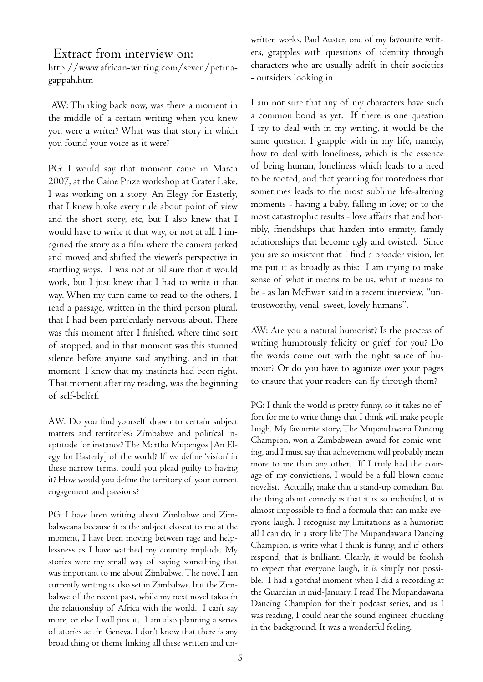#### Extract from interview on:

http://www.african-writing.com/seven/petinagappah.htm

 AW: Thinking back now, was there a moment in the middle of a certain writing when you knew you were a writer? What was that story in which you found your voice as it were?

PG: I would say that moment came in March 2007, at the Caine Prize workshop at Crater Lake. I was working on a story, An Elegy for Easterly, that I knew broke every rule about point of view and the short story, etc, but I also knew that I would have to write it that way, or not at all. I imagined the story as a film where the camera jerked and moved and shifted the viewer's perspective in startling ways. I was not at all sure that it would work, but I just knew that I had to write it that way. When my turn came to read to the others, I read a passage, written in the third person plural, that I had been particularly nervous about. There was this moment after I finished, where time sort of stopped, and in that moment was this stunned silence before anyone said anything, and in that moment, I knew that my instincts had been right. That moment after my reading, was the beginning of self-belief.

AW: Do you find yourself drawn to certain subject matters and territories? Zimbabwe and political ineptitude for instance? The Martha Mupengos [An Elegy for Easterly] of the world? If we define 'vision' in these narrow terms, could you plead guilty to having it? How would you define the territory of your current engagement and passions?

PG: I have been writing about Zimbabwe and Zimbabweans because it is the subject closest to me at the moment, I have been moving between rage and helplessness as I have watched my country implode. My stories were my small way of saying something that was important to me about Zimbabwe. The novel I am currently writing is also set in Zimbabwe, but the Zimbabwe of the recent past, while my next novel takes in the relationship of Africa with the world. I can't say more, or else I will jinx it. I am also planning a series of stories set in Geneva. I don't know that there is any broad thing or theme linking all these written and unwritten works. Paul Auster, one of my favourite writers, grapples with questions of identity through characters who are usually adrift in their societies - outsiders looking in.

I am not sure that any of my characters have such a common bond as yet. If there is one question I try to deal with in my writing, it would be the same question I grapple with in my life, namely, how to deal with loneliness, which is the essence of being human, loneliness which leads to a need to be rooted, and that yearning for rootedness that sometimes leads to the most sublime life-altering moments - having a baby, falling in love; or to the most catastrophic results - love affairs that end horribly, friendships that harden into enmity, family relationships that become ugly and twisted. Since you are so insistent that I find a broader vision, let me put it as broadly as this: I am trying to make sense of what it means to be us, what it means to be - as Ian McEwan said in a recent interview, "untrustworthy, venal, sweet, lovely humans".

AW: Are you a natural humorist? Is the process of writing humorously felicity or grief for you? Do the words come out with the right sauce of humour? Or do you have to agonize over your pages to ensure that your readers can fly through them?

PG: I think the world is pretty funny, so it takes no effort for me to write things that I think will make people laugh. My favourite story, The Mupandawana Dancing Champion, won a Zimbabwean award for comic-writing, and I must say that achievement will probably mean more to me than any other. If I truly had the courage of my convictions, I would be a full-blown comic novelist. Actually, make that a stand-up comedian. But the thing about comedy is that it is so individual, it is almost impossible to find a formula that can make everyone laugh. I recognise my limitations as a humorist: all I can do, in a story like The Mupandawana Dancing Champion, is write what I think is funny, and if others respond, that is brilliant. Clearly, it would be foolish to expect that everyone laugh, it is simply not possible. I had a gotcha! moment when I did a recording at the Guardian in mid-January. I read The Mupandawana Dancing Champion for their podcast series, and as I was reading, I could hear the sound engineer chuckling in the background. It was a wonderful feeling.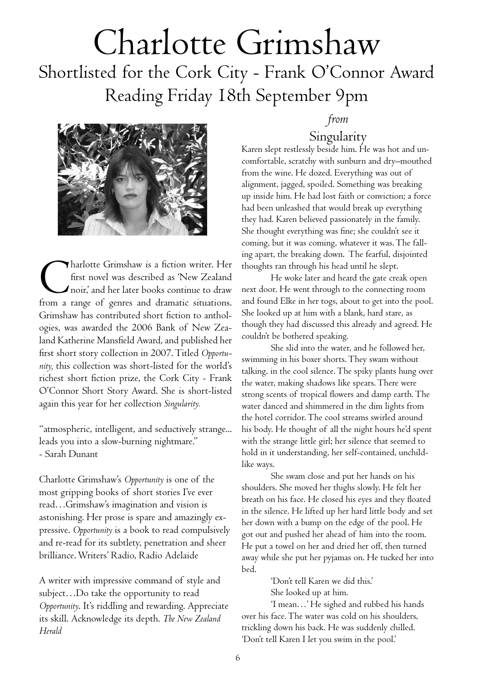# Charlotte Grimshaw Shortlisted for the Cork City - Frank O'Connor Award Reading Friday 18th September 9pm



Tharlotte Grimshaw is a fiction writer. Her first novel was described as 'New Zealand noir,' and her later books continue to draw from a range of genres and dramatic situations. Grimshaw has contributed short fiction to anthologies, was awarded the 2006 Bank of New Zealand Katherine Mansfield Award, and published her first short story collection in 2007. Titled *Opportunity,* this collection was short-listed for the world's richest short fiction prize, the Cork City - Frank O'Connor Short Story Award. She is short-listed again this year for her collection *Singularity.*

"atmospheric, intelligent, and seductively strange... leads you into a slow-burning nightmare." - Sarah Dunant

Charlotte Grimshaw's *Opportunity* is one of the most gripping books of short stories I've ever read…Grimshaw's imagination and vision is astonishing. Her prose is spare and amazingly expressive. *Opportunity* is a book to read compulsively and re-read for its subtlety, penetration and sheer brilliance. Writers' Radio, Radio Adelaide

A writer with impressive command of style and subject…Do take the opportunity to read *Opportunity*. It's riddling and rewarding. Appreciate its skill. Acknowledge its depth. *The New Zealand Herald*

#### *from*

#### Singularity

Karen slept restlessly beside him. He was hot and uncomfortable, scratchy with sunburn and dry–mouthed from the wine. He dozed. Everything was out of alignment, jagged, spoiled. Something was breaking up inside him. He had lost faith or conviction; a force had been unleashed that would break up everything they had. Karen believed passionately in the family. She thought everything was fine; she couldn't see it coming, but it was coming, whatever it was. The falling apart, the breaking down. The fearful, disjointed thoughts ran through his head until he slept.

He woke later and heard the gate creak open next door. He went through to the connecting room and found Elke in her togs, about to get into the pool. She looked up at him with a blank, hard stare, as though they had discussed this already and agreed. He couldn't be bothered speaking.

She slid into the water, and he followed her, swimming in his boxer shorts. They swam without talking, in the cool silence. The spiky plants hung over the water, making shadows like spears. There were strong scents of tropical flowers and damp earth. The water danced and shimmered in the dim lights from the hotel corridor. The cool streams swirled around his body. He thought of all the night hours he'd spent with the strange little girl; her silence that seemed to hold in it understanding, her self-contained, unchildlike ways.

She swam close and put her hands on his shoulders. She moved her thighs slowly. He felt her breath on his face. He closed his eyes and they floated in the silence. He lifted up her hard little body and set her down with a bump on the edge of the pool. He got out and pushed her ahead of him into the room. He put a towel on her and dried her off, then turned away while she put her pyjamas on. He tucked her into bed.

> 'Don't tell Karen we did this.' She looked up at him.

'I mean…' He sighed and rubbed his hands over his face. The water was cold on his shoulders, trickling down his back. He was suddenly chilled. 'Don't tell Karen I let you swim in the pool.'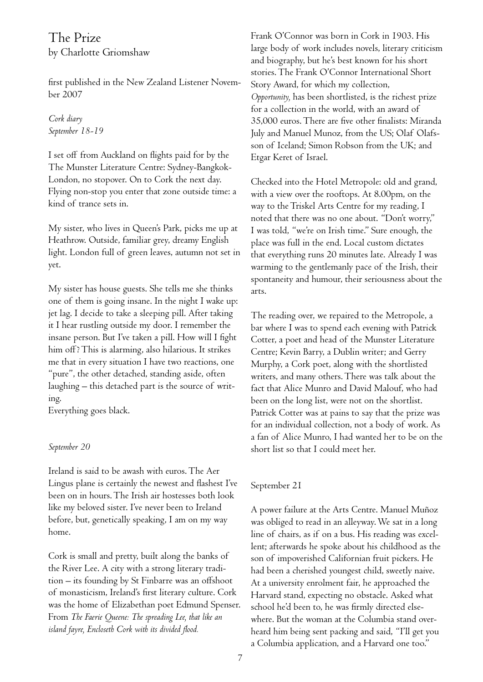first published in the New Zealand Listener November 2007

*Cork diary September 18-19*

I set off from Auckland on flights paid for by the The Munster Literature Centre: Sydney-Bangkok-London, no stopover. On to Cork the next day. Flying non-stop you enter that zone outside time: a kind of trance sets in.

My sister, who lives in Queen's Park, picks me up at Heathrow. Outside, familiar grey, dreamy English light. London full of green leaves, autumn not set in yet.

My sister has house guests. She tells me she thinks one of them is going insane. In the night I wake up: jet lag. I decide to take a sleeping pill. After taking it I hear rustling outside my door. I remember the insane person. But I've taken a pill. How will I fight him off ? This is alarming, also hilarious. It strikes me that in every situation I have two reactions, one "pure", the other detached, standing aside, often laughing – this detached part is the source of writing.

Everything goes black.

#### *September 20*

Ireland is said to be awash with euros. The Aer Lingus plane is certainly the newest and flashest I've been on in hours. The Irish air hostesses both look like my beloved sister. I've never been to Ireland before, but, genetically speaking, I am on my way home.

Cork is small and pretty, built along the banks of the River Lee. A city with a strong literary tradition – its founding by St Finbarre was an offshoot of monasticism, Ireland's first literary culture. Cork was the home of Elizabethan poet Edmund Spenser. From *The Faerie Queene: The spreading Lee, that like an island fayre, Encloseth Cork with its divided flood.*

Frank O'Connor was born in Cork in 1903. His large body of work includes novels, literary criticism and biography, but he's best known for his short stories. The Frank O'Connor International Short Story Award, for which my collection, *Opportunity,* has been shortlisted, is the richest prize for a collection in the world, with an award of 35,000 euros. There are five other finalists: Miranda July and Manuel Munoz, from the US; Olaf Olafsson of Iceland; Simon Robson from the UK; and Etgar Keret of Israel.

Checked into the Hotel Metropole: old and grand, with a view over the rooftops. At 8.00pm, on the way to the Triskel Arts Centre for my reading, I noted that there was no one about. "Don't worry," I was told, "we're on Irish time." Sure enough, the place was full in the end. Local custom dictates that everything runs 20 minutes late. Already I was warming to the gentlemanly pace of the Irish, their spontaneity and humour, their seriousness about the arts.

The reading over, we repaired to the Metropole, a bar where I was to spend each evening with Patrick Cotter, a poet and head of the Munster Literature Centre; Kevin Barry, a Dublin writer; and Gerry Murphy, a Cork poet, along with the shortlisted writers, and many others. There was talk about the fact that Alice Munro and David Malouf, who had been on the long list, were not on the shortlist. Patrick Cotter was at pains to say that the prize was for an individual collection, not a body of work. As a fan of Alice Munro, I had wanted her to be on the short list so that I could meet her.

#### September 21

A power failure at the Arts Centre. Manuel Muñoz was obliged to read in an alleyway. We sat in a long line of chairs, as if on a bus. His reading was excellent; afterwards he spoke about his childhood as the son of impoverished Californian fruit pickers. He had been a cherished youngest child, sweetly naive. At a university enrolment fair, he approached the Harvard stand, expecting no obstacle. Asked what school he'd been to, he was firmly directed elsewhere. But the woman at the Columbia stand overheard him being sent packing and said, "I'll get you a Columbia application, and a Harvard one too."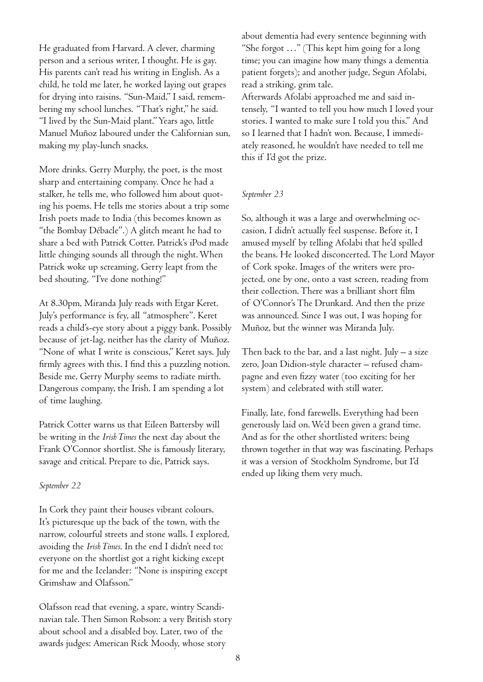He graduated from Harvard. A clever, charming person and a serious writer, I thought. He is gay. His parents can't read his writing in English. As a child, he told me later, he worked laying out grapes for drying into raisins. "Sun-Maid," I said, remembering my school lunches. "That's right," he said. "I lived by the Sun-Maid plant." Years ago, little Manuel Muñoz laboured under the Californian sun, making my play-lunch snacks.

More drinks. Gerry Murphy, the poet, is the most sharp and entertaining company. Once he had a stalker, he tells me, who followed him about quoting his poems. He tells me stories about a trip some Irish poets made to India (this becomes known as "the Bombay Débacle".) A glitch meant he had to share a bed with Patrick Cotter. Patrick's iPod made little chinging sounds all through the night. When Patrick woke up screaming, Gerry leapt from the bed shouting, "I've done nothing!"

At 8.30pm, Miranda July reads with Etgar Keret. July's performance is fey, all "atmosphere". Keret reads a child's-eye story about a piggy bank. Possibly because of jet-lag, neither has the clarity of Muñoz. "None of what I write is conscious," Keret says. July firmly agrees with this. I find this a puzzling notion. Beside me, Gerry Murphy seems to radiate mirth. Dangerous company, the Irish. I am spending a lot of time laughing.

Patrick Cotter warns us that Eileen Battersby will be writing in the *Irish Times* the next day about the Frank O'Connor shortlist. She is famously literary, savage and critical. Prepare to die, Patrick says.

#### *September 22*

In Cork they paint their houses vibrant colours. It's picturesque up the back of the town, with the narrow, colourful streets and stone walls. I explored, avoiding the *Irish Times*. In the end I didn't need to: everyone on the shortlist got a right kicking except for me and the Icelander: "None is inspiring except Grimshaw and Olafsson."

Olafsson read that evening, a spare, wintry Scandinavian tale. Then Simon Robson: a very British story about school and a disabled boy. Later, two of the awards judges: American Rick Moody, whose story

about dementia had every sentence beginning with "She forgot …" (This kept him going for a long time; you can imagine how many things a dementia patient forgets); and another judge, Segun Afolabi, read a striking, grim tale.

Afterwards Afolabi approached me and said intensely, "I wanted to tell you how much I loved your stories. I wanted to make sure I told you this." And so I learned that I hadn't won. Because, I immediately reasoned, he wouldn't have needed to tell me this if I'd got the prize.

#### *September 23*

So, although it was a large and overwhelming occasion, I didn't actually feel suspense. Before it, I amused myself by telling Afolabi that he'd spilled the beans. He looked disconcerted. The Lord Mayor of Cork spoke. Images of the writers were projected, one by one, onto a vast screen, reading from their collection. There was a brilliant short film of O'Connor's The Drunkard. And then the prize was announced. Since I was out, I was hoping for Muñoz, but the winner was Miranda July.

Then back to the bar, and a last night. July  $-$  a size zero, Joan Didion-style character – refused champagne and even fizzy water (too exciting for her system) and celebrated with still water.

Finally, late, fond farewells. Everything had been generously laid on. We'd been given a grand time. And as for the other shortlisted writers: being thrown together in that way was fascinating. Perhaps it was a version of Stockholm Syndrome, but I'd ended up liking them very much.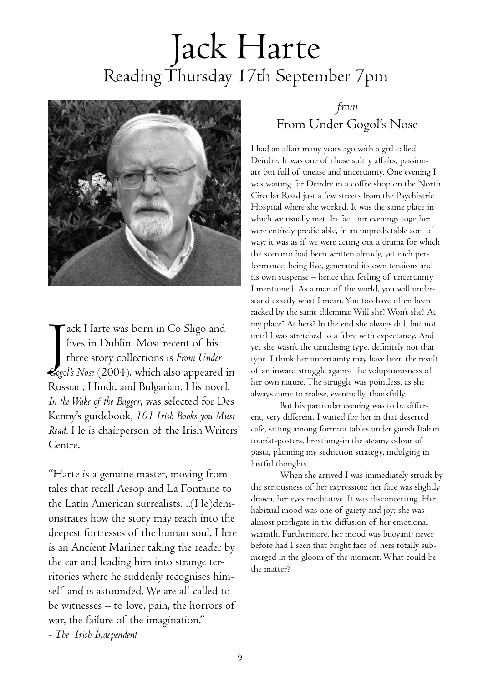# Jack Harte Reading Thursday 17th September 7pm



 $J_{\text{000}}$ ack Harte was born in Co Sligo and lives in Dublin. Most recent of his three story collections is *From Under Gogol's Nose* (2004), which also appeared in Russian, Hindi, and Bulgarian. His novel, *In the Wake of the Bagger*, was selected for Des Kenny's guidebook, *101 Irish Books you Must Read*. He is chairperson of the Irish Writers' Centre.

"Harte is a genuine master, moving from tales that recall Aesop and La Fontaine to the Latin American surrealists. ..(He)demonstrates how the story may reach into the deepest fortresses of the human soul. Here is an Ancient Mariner taking the reader by the ear and leading him into strange territories where he suddenly recognises himself and is astounded. We are all called to be witnesses – to love, pain, the horrors of war, the failure of the imagination." - *The Irish Independent*

*from* From Under Gogol's Nose

I had an affair many years ago with a girl called Deirdre. It was one of those sultry affairs, passionate but full of unease and uncertainty. One evening I was waiting for Deirdre in a coffee shop on the North Circular Road just a few streets from the Psychiatric Hospital where she worked. It was the same place in which we usually met. In fact our evenings together were entirely predictable, in an unpredictable sort of way; it was as if we were acting out a drama for which the scenario had been written already, yet each performance, being live, generated its own tensions and its own suspense – hence that feeling of uncertainty I mentioned. As a man of the world, you will understand exactly what I mean. You too have often been racked by the same dilemma: Will she? Won't she? At my place? At hers? In the end she always did, but not until I was stretched to a fibre with expectancy. And yet she wasn't the tantalising type, definitely not that type. I think her uncertainty may have been the result of an inward struggle against the voluptuousness of her own nature. The struggle was pointless, as she always came to realise, eventually, thankfully.

But his particular evening was to be different, very different. I waited for her in that deserted café, sitting among formica tables under garish Italian tourist-posters, breathing-in the steamy odour of pasta, planning my seduction strategy, indulging in lustful thoughts.

When she arrived I was immediately struck by the seriousness of her expression: her face was slightly drawn, her eyes meditative. It was disconcerting. Her habitual mood was one of gaiety and joy; she was almost profligate in the diffusion of her emotional warmth. Furthermore, her mood was buoyant; never before had I seen that bright face of hers totally submerged in the gloom of the moment. What could be the matter?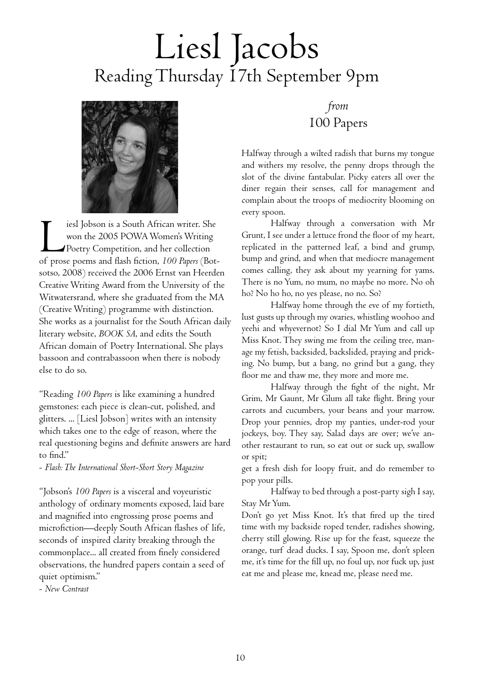# Liesl Jacobs Reading Thursday 17th September 9pm



iesl Jobson is a South African writer. She won the 2005 POWA Women's Writing Poetry Competition, and her collection of prose poems and flash fiction, *100 Papers* (Botsotso, 2008) received the 2006 Ernst van Heerden Creative Writing Award from the University of the Witwatersrand, where she graduated from the MA (Creative Writing) programme with distinction. She works as a journalist for the South African daily literary website, *BOOK SA*, and edits the South African domain of Poetry International. She plays bassoon and contrabassoon when there is nobody else to do so.

"Reading *100 Papers* is like examining a hundred gemstones: each piece is clean-cut, polished, and glitters. ... [Liesl Jobson] writes with an intensity which takes one to the edge of reason, where the real questioning begins and definite answers are hard to find."

- *Flash: The International Short-Short Story Magazine*

"Jobson's *100 Papers* is a visceral and voyeuristic anthology of ordinary moments exposed, laid bare and magnified into engrossing prose poems and microfiction—deeply South African flashes of life, seconds of inspired clarity breaking through the commonplace... all created from finely considered observations, the hundred papers contain a seed of quiet optimism."

- *New Contrast*

*from* 100 Papers

Halfway through a wilted radish that burns my tongue and withers my resolve, the penny drops through the slot of the divine fantabular. Picky eaters all over the diner regain their senses, call for management and complain about the troops of mediocrity blooming on every spoon.

Halfway through a conversation with Mr Grunt, I see under a lettuce frond the floor of my heart, replicated in the patterned leaf, a bind and grump, bump and grind, and when that mediocre management comes calling, they ask about my yearning for yams. There is no Yum, no mum, no maybe no more. No oh ho? No ho ho, no yes please, no no. So?

Halfway home through the eve of my fortieth, lust gusts up through my ovaries, whistling woohoo and yeehi and whyevernot? So I dial Mr Yum and call up Miss Knot. They swing me from the ceiling tree, manage my fetish, backsided, backslided, praying and pricking. No bump, but a bang, no grind but a gang, they floor me and thaw me, they more and more me.

Halfway through the fight of the night, Mr Grim, Mr Gaunt, Mr Glum all take flight. Bring your carrots and cucumbers, your beans and your marrow. Drop your pennies, drop my panties, under-rod your jockeys, boy. They say, Salad days are over; we've another restaurant to run, so eat out or suck up, swallow or spit;

get a fresh dish for loopy fruit, and do remember to pop your pills.

Halfway to bed through a post-party sigh I say, Stay Mr Yum.

Don't go yet Miss Knot. It's that fired up the tired time with my backside roped tender, radishes showing, cherry still glowing. Rise up for the feast, squeeze the orange, turf dead ducks. I say, Spoon me, don't spleen me, it's time for the fill up, no foul up, nor fuck up, just eat me and please me, knead me, please need me.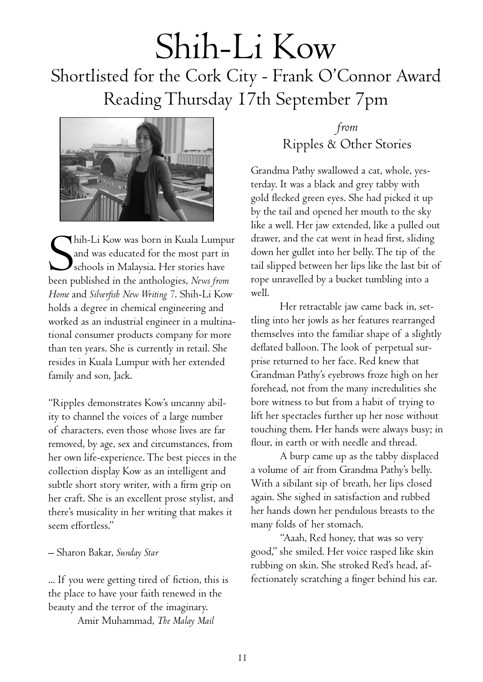# Shih-Li Kow Shortlisted for the Cork City - Frank O'Connor Award Reading Thursday 17th September 7pm



Shih-Li Kow was born in Kuala Lumpur<br>and was educated for the most part in<br>schools in Malaysia. Her stories have<br>been published in the anthologies. News from and was educated for the most part in schools in Malaysia. Her stories have been published in the anthologies, *News from Home* and *Silverfish New Writing 7*. Shih-Li Kow holds a degree in chemical engineering and worked as an industrial engineer in a multinational consumer products company for more than ten years. She is currently in retail. She resides in Kuala Lumpur with her extended family and son, Jack.

"Ripples demonstrates Kow's uncanny ability to channel the voices of a large number of characters, even those whose lives are far removed, by age, sex and circumstances, from her own life-experience. The best pieces in the collection display Kow as an intelligent and subtle short story writer, with a firm grip on her craft. She is an excellent prose stylist, and there's musicality in her writing that makes it seem effortless."

#### – Sharon Bakar, *Sunday Star*

... If you were getting tired of fiction, this is the place to have your faith renewed in the beauty and the terror of the imaginary.

Amir Muhammad, *The Malay Mail*

### *from* Ripples & Other Stories

Grandma Pathy swallowed a cat, whole, yesterday. It was a black and grey tabby with gold flecked green eyes. She had picked it up by the tail and opened her mouth to the sky like a well. Her jaw extended, like a pulled out drawer, and the cat went in head first, sliding down her gullet into her belly. The tip of the tail slipped between her lips like the last bit of rope unravelled by a bucket tumbling into a well.

Her retractable jaw came back in, settling into her jowls as her features rearranged themselves into the familiar shape of a slightly deflated balloon. The look of perpetual surprise returned to her face. Red knew that Grandman Pathy's eyebrows froze high on her forehead, not from the many incredulities she bore witness to but from a habit of trying to lift her spectacles further up her nose without touching them. Her hands were always busy; in flour, in earth or with needle and thread.

A burp came up as the tabby displaced a volume of air from Grandma Pathy's belly. With a sibilant sip of breath, her lips closed again. She sighed in satisfaction and rubbed her hands down her pendulous breasts to the many folds of her stomach.

"Aaah, Red honey, that was so very good," she smiled. Her voice rasped like skin rubbing on skin. She stroked Red's head, affectionately scratching a finger behind his ear.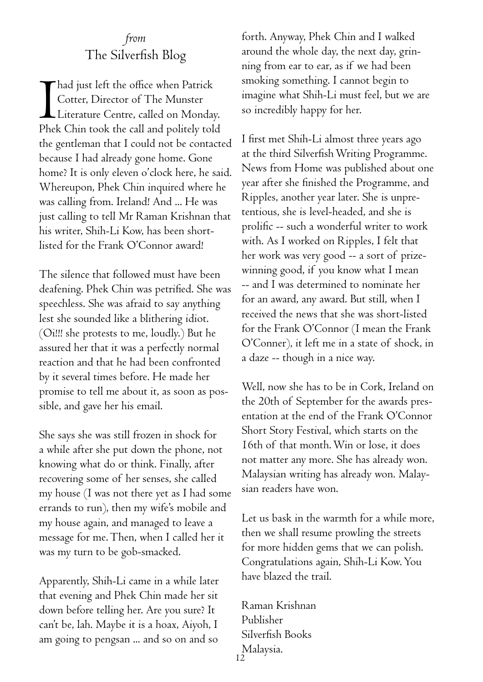### *from* The Silverfish Blog

I had just left the office when Patrick<br>Cotter, Director of The Munster<br>Literature Centre, called on Monday<br>Phek Chin took the call and politely tole Cotter, Director of The Munster Literature Centre, called on Monday. Phek Chin took the call and politely told the gentleman that I could not be contacted because I had already gone home. Gone home? It is only eleven o'clock here, he said. Whereupon, Phek Chin inquired where he was calling from. Ireland! And ... He was just calling to tell Mr Raman Krishnan that his writer, Shih-Li Kow, has been shortlisted for the Frank O'Connor award!

The silence that followed must have been deafening. Phek Chin was petrified. She was speechless. She was afraid to say anything lest she sounded like a blithering idiot. (Oi!!! she protests to me, loudly.) But he assured her that it was a perfectly normal reaction and that he had been confronted by it several times before. He made her promise to tell me about it, as soon as possible, and gave her his email.

She says she was still frozen in shock for a while after she put down the phone, not knowing what do or think. Finally, after recovering some of her senses, she called my house (I was not there yet as I had some errands to run), then my wife's mobile and my house again, and managed to leave a message for me. Then, when I called her it was my turn to be gob-smacked.

Apparently, Shih-Li came in a while later that evening and Phek Chin made her sit down before telling her. Are you sure? It can't be, lah. Maybe it is a hoax, Aiyoh, I am going to pengsan ... and so on and so

forth. Anyway, Phek Chin and I walked around the whole day, the next day, grinning from ear to ear, as if we had been smoking something. I cannot begin to imagine what Shih-Li must feel, but we are so incredibly happy for her.

I first met Shih-Li almost three years ago at the third Silverfish Writing Programme. News from Home was published about one year after she finished the Programme, and Ripples, another year later. She is unpretentious, she is level-headed, and she is prolific -- such a wonderful writer to work with. As I worked on Ripples, I felt that her work was very good -- a sort of prizewinning good, if you know what I mean -- and I was determined to nominate her for an award, any award. But still, when I received the news that she was short-listed for the Frank O'Connor (I mean the Frank O'Conner), it left me in a state of shock, in a daze -- though in a nice way.

Well, now she has to be in Cork, Ireland on the 20th of September for the awards presentation at the end of the Frank O'Connor Short Story Festival, which starts on the 16th of that month. Win or lose, it does not matter any more. She has already won. Malaysian writing has already won. Malaysian readers have won.

Let us bask in the warmth for a while more, then we shall resume prowling the streets for more hidden gems that we can polish. Congratulations again, Shih-Li Kow. You have blazed the trail.

12 Raman Krishnan Publisher Silverfish Books Malaysia.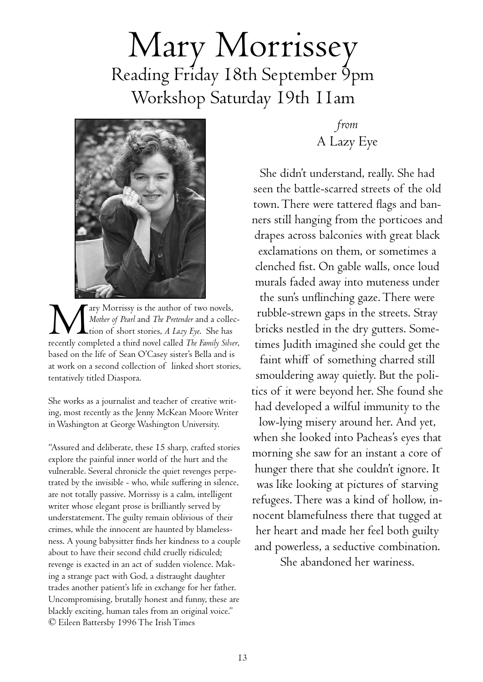# Mary Morrissey Reading Friday 18th September 9pm Workshop Saturday 19th 11am



Mary Morrissy is the author of two novels,<br> *Mother of Pearl* and *The Pretender* and a collection of short stories, *A Lazy Eye*. She has<br>
recently completed a third novel called *The Family Silver*, *Mother of Pearl* and *The Pretender* and a collection of short stories, *A Lazy Eye*. She has based on the life of Sean O'Casey sister's Bella and is at work on a second collection of linked short stories, tentatively titled Diaspora.

She works as a journalist and teacher of creative writing, most recently as the Jenny McKean Moore Writer in Washington at George Washington University.

"Assured and deliberate, these 15 sharp, crafted stories explore the painful inner world of the hurt and the vulnerable. Several chronicle the quiet revenges perpetrated by the invisible - who, while suffering in silence, are not totally passive. Morrissy is a calm, intelligent writer whose elegant prose is brilliantly served by understatement. The guilty remain oblivious of their crimes, while the innocent are haunted by blamelessness. A young babysitter finds her kindness to a couple about to have their second child cruelly ridiculed; revenge is exacted in an act of sudden violence. Making a strange pact with God, a distraught daughter trades another patient's life in exchange for her father. Uncompromising, brutally honest and funny, these are blackly exciting, human tales from an original voice." © Eileen Battersby 1996 The Irish Times

*from* A Lazy Eye

She didn't understand, really. She had seen the battle-scarred streets of the old town. There were tattered flags and banners still hanging from the porticoes and drapes across balconies with great black exclamations on them, or sometimes a clenched fist. On gable walls, once loud murals faded away into muteness under the sun's unflinching gaze. There were rubble-strewn gaps in the streets. Stray bricks nestled in the dry gutters. Sometimes Judith imagined she could get the faint whiff of something charred still smouldering away quietly. But the politics of it were beyond her. She found she had developed a wilful immunity to the low-lying misery around her. And yet, when she looked into Pacheas's eyes that morning she saw for an instant a core of hunger there that she couldn't ignore. It was like looking at pictures of starving refugees. There was a kind of hollow, innocent blamefulness there that tugged at her heart and made her feel both guilty and powerless, a seductive combination. She abandoned her wariness.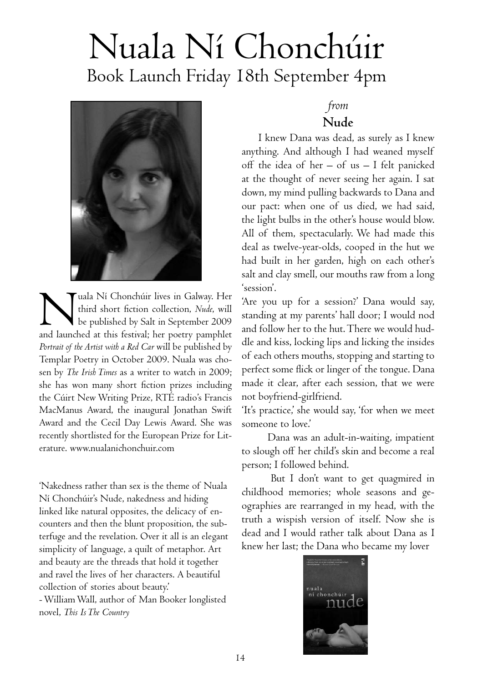# Nuala Ní Chonchúir Book Launch Friday 18th September 4pm



Tuala Ní Chonchúir lives in Galway. Her third short fiction collection, *Nude*, will be published by Salt in September 2009 and launched at this festival; her poetry pamphlet *Portrait of the Artist with a Red Car* will be published by Templar Poetry in October 2009. Nuala was chosen by *The Irish Times* as a writer to watch in 2009; she has won many short fiction prizes including the Cúirt New Writing Prize, RTÉ radio's Francis MacManus Award, the inaugural Jonathan Swift Award and the Cecil Day Lewis Award. She was recently shortlisted for the European Prize for Literature. www.nualanichonchuir.com

'Nakedness rather than sex is the theme of Nuala Ní Chonchúir's Nude, nakedness and hiding linked like natural opposites, the delicacy of encounters and then the blunt proposition, the subterfuge and the revelation. Over it all is an elegant simplicity of language, a quilt of metaphor. Art and beauty are the threads that hold it together and ravel the lives of her characters. A beautiful collection of stories about beauty.'

- William Wall, author of Man Booker longlisted novel, *This Is The Country* 

#### *from* **Nude**

 I knew Dana was dead, as surely as I knew anything. And although I had weaned myself off the idea of her  $-$  of us  $-$  I felt panicked at the thought of never seeing her again. I sat down, my mind pulling backwards to Dana and our pact: when one of us died, we had said, the light bulbs in the other's house would blow. All of them, spectacularly. We had made this deal as twelve-year-olds, cooped in the hut we had built in her garden, high on each other's salt and clay smell, our mouths raw from a long 'session'.

'Are you up for a session?' Dana would say, standing at my parents' hall door; I would nod and follow her to the hut. There we would huddle and kiss, locking lips and licking the insides of each others mouths, stopping and starting to perfect some flick or linger of the tongue. Dana made it clear, after each session, that we were not boyfriend-girlfriend.

'It's practice,' she would say, 'for when we meet someone to love.'

 Dana was an adult-in-waiting, impatient to slough off her child's skin and become a real person; I followed behind.

But I don't want to get quagmired in childhood memories; whole seasons and geographies are rearranged in my head, with the truth a wispish version of itself. Now she is dead and I would rather talk about Dana as I knew her last; the Dana who became my lover

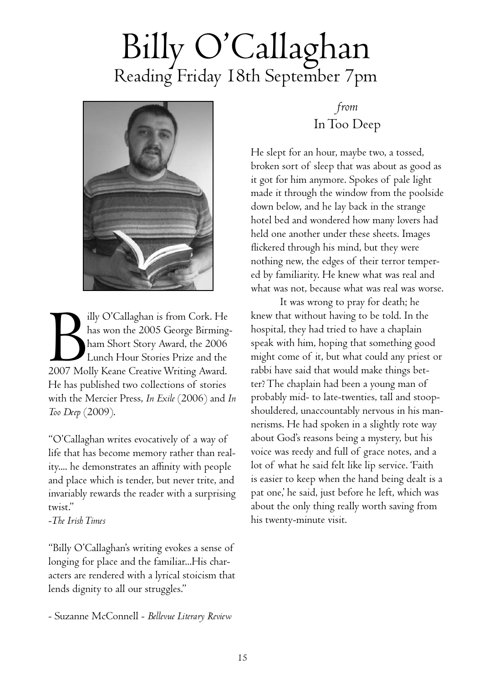# Billy O'Callaghan Reading Friday 18th September 7pm



Illy O'Callaghan is from Cork. He<br>has won the 2005 George Birming<br>ham Short Story Award, the 2006<br>Lunch Hour Stories Prize and the<br>2007 Molly Keane Creative Writing Award. illy O'Callaghan is from Cork. He has won the 2005 George Birmingham Short Story Award, the 2006 Lunch Hour Stories Prize and the He has published two collections of stories with the Mercier Press, *In Exile* (2006) and *In Too Deep* (2009).

"O'Callaghan writes evocatively of a way of life that has become memory rather than reality.... he demonstrates an affinity with people and place which is tender, but never trite, and invariably rewards the reader with a surprising twist."

#### -*The Irish Times*

"Billy O'Callaghan's writing evokes a sense of longing for place and the familiar...His characters are rendered with a lyrical stoicism that lends dignity to all our struggles."

- Suzanne McConnell - *Bellevue Literary Review*

### *from* In Too Deep

He slept for an hour, maybe two, a tossed, broken sort of sleep that was about as good as it got for him anymore. Spokes of pale light made it through the window from the poolside down below, and he lay back in the strange hotel bed and wondered how many lovers had held one another under these sheets. Images flickered through his mind, but they were nothing new, the edges of their terror tempered by familiarity. He knew what was real and what was not, because what was real was worse.

It was wrong to pray for death; he knew that without having to be told. In the hospital, they had tried to have a chaplain speak with him, hoping that something good might come of it, but what could any priest or rabbi have said that would make things better? The chaplain had been a young man of probably mid- to late-twenties, tall and stoopshouldered, unaccountably nervous in his mannerisms. He had spoken in a slightly rote way about God's reasons being a mystery, but his voice was reedy and full of grace notes, and a lot of what he said felt like lip service. 'Faith is easier to keep when the hand being dealt is a pat one,' he said, just before he left, which was about the only thing really worth saving from his twenty-minute visit.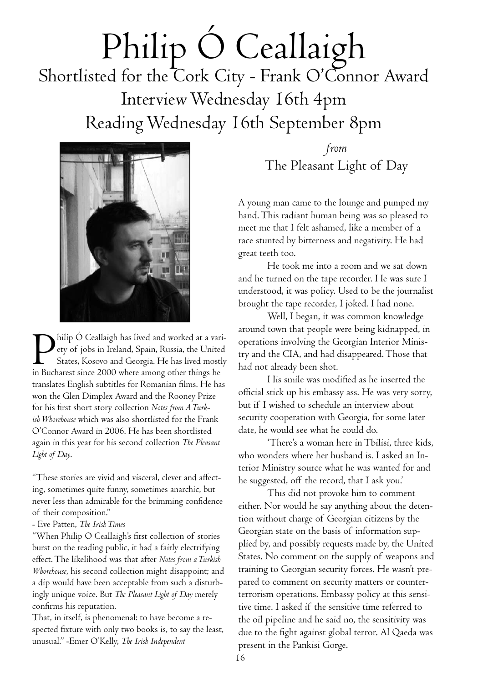# Philip Ó Ceallaigh<br>Shortlisted for the Cork City - Frank O'Connor Award Interview Wednesday 16th 4pm Reading Wednesday 16th September 8pm



hilip O Ceallaigh has lived and worked at a variety of jobs in Ireland, Spain, Russia, the United States, Kosovo and Georgia. He has lived mostly in Bucharest since 2000 where among other things he translates English subtitles for Romanian films. He has won the Glen Dimplex Award and the Rooney Prize for his first short story collection *Notes from A Turkish Whorehouse* which was also shortlisted for the Frank O'Connor Award in 2006. He has been shortlisted again in this year for his second collection *The Pleasant Light of Day*.

"These stories are vivid and visceral, clever and affecting, sometimes quite funny, sometimes anarchic, but never less than admirable for the brimming confidence of their composition."

- Eve Patten, *The Irish Times*

"When Philip O Ceallaigh's first collection of stories burst on the reading public, it had a fairly electrifying effect. The likelihood was that after *Notes from a Turkish Whorehouse*, his second collection might disappoint; and a dip would have been acceptable from such a disturbingly unique voice. But *The Pleasant Light of Day* merely confirms his reputation.

That, in itself, is phenomenal: to have become a respected fixture with only two books is, to say the least, unusual." -Emer O'Kelly, *The Irish Independent*

*from* The Pleasant Light of Day

A young man came to the lounge and pumped my hand. This radiant human being was so pleased to meet me that I felt ashamed, like a member of a race stunted by bitterness and negativity. He had great teeth too.

He took me into a room and we sat down and he turned on the tape recorder. He was sure I understood, it was policy. Used to be the journalist brought the tape recorder, I joked. I had none.

Well, I began, it was common knowledge around town that people were being kidnapped, in operations involving the Georgian Interior Ministry and the CIA, and had disappeared. Those that had not already been shot.

His smile was modified as he inserted the official stick up his embassy ass. He was very sorry, but if I wished to schedule an interview about security cooperation with Georgia, for some later date, he would see what he could do.

'There's a woman here in Tbilisi, three kids, who wonders where her husband is. I asked an Interior Ministry source what he was wanted for and he suggested, off the record, that I ask you.'

This did not provoke him to comment either. Nor would he say anything about the detention without charge of Georgian citizens by the Georgian state on the basis of information supplied by, and possibly requests made by, the United States. No comment on the supply of weapons and training to Georgian security forces. He wasn't prepared to comment on security matters or counterterrorism operations. Embassy policy at this sensitive time. I asked if the sensitive time referred to the oil pipeline and he said no, the sensitivity was due to the fight against global terror. Al Qaeda was present in the Pankisi Gorge.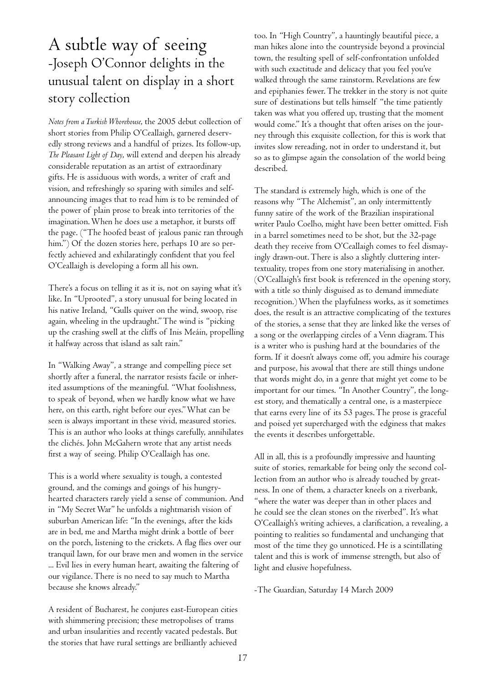# A subtle way of seeing -Joseph O'Connor delights in the unusual talent on display in a short story collection

*Notes from a Turkish Whorehouse*, the 2005 debut collection of short stories from Philip O'Ceallaigh, garnered deservedly strong reviews and a handful of prizes. Its follow-up, *The Pleasant Light of Day*, will extend and deepen his already considerable reputation as an artist of extraordinary gifts. He is assiduous with words, a writer of craft and vision, and refreshingly so sparing with similes and selfannouncing images that to read him is to be reminded of the power of plain prose to break into territories of the imagination. When he does use a metaphor, it bursts off the page. ("The hoofed beast of jealous panic ran through him.") Of the dozen stories here, perhaps 10 are so perfectly achieved and exhilaratingly confident that you feel O'Ceallaigh is developing a form all his own.

There's a focus on telling it as it is, not on saying what it's like. In "Uprooted", a story unusual for being located in his native Ireland, "Gulls quiver on the wind, swoop, rise again, wheeling in the updraught." The wind is "picking up the crashing swell at the cliffs of Inis Meáin, propelling it halfway across that island as salt rain."

In "Walking Away", a strange and compelling piece set shortly after a funeral, the narrator resists facile or inherited assumptions of the meaningful. "What foolishness, to speak of beyond, when we hardly know what we have here, on this earth, right before our eyes." What can be seen is always important in these vivid, measured stories. This is an author who looks at things carefully, annihilates the clichés. John McGahern wrote that any artist needs first a way of seeing. Philip O'Ceallaigh has one.

This is a world where sexuality is tough, a contested ground, and the comings and goings of his hungryhearted characters rarely yield a sense of communion. And in "My Secret War" he unfolds a nightmarish vision of suburban American life: "In the evenings, after the kids are in bed, me and Martha might drink a bottle of beer on the porch, listening to the crickets. A flag flies over our tranquil lawn, for our brave men and women in the service ... Evil lies in every human heart, awaiting the faltering of our vigilance. There is no need to say much to Martha because she knows already."

A resident of Bucharest, he conjures east-European cities with shimmering precision; these metropolises of trams and urban insularities and recently vacated pedestals. But the stories that have rural settings are brilliantly achieved

too. In "High Country", a hauntingly beautiful piece, a man hikes alone into the countryside beyond a provincial town, the resulting spell of self-confrontation unfolded with such exactitude and delicacy that you feel you've walked through the same rainstorm. Revelations are few and epiphanies fewer. The trekker in the story is not quite sure of destinations but tells himself "the time patiently taken was what you offered up, trusting that the moment would come." It's a thought that often arises on the journey through this exquisite collection, for this is work that invites slow rereading, not in order to understand it, but so as to glimpse again the consolation of the world being described.

The standard is extremely high, which is one of the reasons why "The Alchemist", an only intermittently funny satire of the work of the Brazilian inspirational writer Paulo Coelho, might have been better omitted. Fish in a barrel sometimes need to be shot, but the 32-page death they receive from O'Ceallaigh comes to feel dismayingly drawn-out. There is also a slightly cluttering intertextuality, tropes from one story materialising in another. (O'Ceallaigh's first book is referenced in the opening story, with a title so thinly disguised as to demand immediate recognition.) When the playfulness works, as it sometimes does, the result is an attractive complicating of the textures of the stories, a sense that they are linked like the verses of a song or the overlapping circles of a Venn diagram. This is a writer who is pushing hard at the boundaries of the form. If it doesn't always come off, you admire his courage and purpose, his avowal that there are still things undone that words might do, in a genre that might yet come to be important for our times. "In Another Country", the longest story, and thematically a central one, is a masterpiece that earns every line of its 53 pages. The prose is graceful and poised yet supercharged with the edginess that makes the events it describes unforgettable.

All in all, this is a profoundly impressive and haunting suite of stories, remarkable for being only the second collection from an author who is already touched by greatness. In one of them, a character kneels on a riverbank, "where the water was deeper than in other places and he could see the clean stones on the riverbed". It's what O'Ceallaigh's writing achieves, a clarification, a revealing, a pointing to realities so fundamental and unchanging that most of the time they go unnoticed. He is a scintillating talent and this is work of immense strength, but also of light and elusive hopefulness.

-The Guardian, Saturday 14 March 2009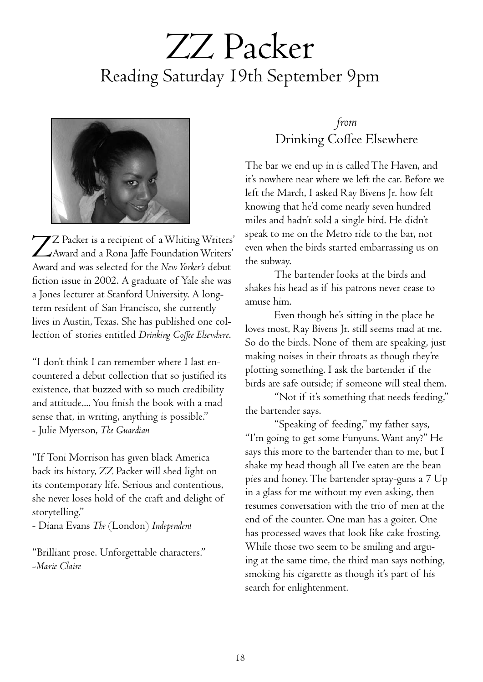# ZZ Packer Reading Saturday 19th September 9pm



ZZ Packer is a recipient of a Whiting Writers' Award and a Rona Jaffe Foundation Writers' Award and was selected for the *New Yorker's* debut fiction issue in 2002. A graduate of Yale she was a Jones lecturer at Stanford University. A longterm resident of San Francisco, she currently lives in Austin, Texas. She has published one collection of stories entitled *Drinking Coffee Elsewhere*.

"I don't think I can remember where I last encountered a debut collection that so justified its existence, that buzzed with so much credibility and attitude.... You finish the book with a mad sense that, in writing, anything is possible." - Julie Myerson, *The Guardian*

"If Toni Morrison has given black America back its history, ZZ Packer will shed light on its contemporary life. Serious and contentious, she never loses hold of the craft and delight of storytelling."

- Diana Evans *The* (London) *Independent*

"Brilliant prose. Unforgettable characters." *-Marie Claire*

### *from* Drinking Coffee Elsewhere

The bar we end up in is called The Haven, and it's nowhere near where we left the car. Before we left the March, I asked Ray Bivens Jr. how felt knowing that he'd come nearly seven hundred miles and hadn't sold a single bird. He didn't speak to me on the Metro ride to the bar, not even when the birds started embarrassing us on the subway.

The bartender looks at the birds and shakes his head as if his patrons never cease to amuse him.

Even though he's sitting in the place he loves most, Ray Bivens Jr. still seems mad at me. So do the birds. None of them are speaking, just making noises in their throats as though they're plotting something. I ask the bartender if the birds are safe outside; if someone will steal them.

"Not if it's something that needs feeding," the bartender says.

"Speaking of feeding," my father says, "I'm going to get some Funyuns. Want any?" He says this more to the bartender than to me, but I shake my head though all I've eaten are the bean pies and honey. The bartender spray-guns a 7 Up in a glass for me without my even asking, then resumes conversation with the trio of men at the end of the counter. One man has a goiter. One has processed waves that look like cake frosting. While those two seem to be smiling and arguing at the same time, the third man says nothing, smoking his cigarette as though it's part of his search for enlightenment.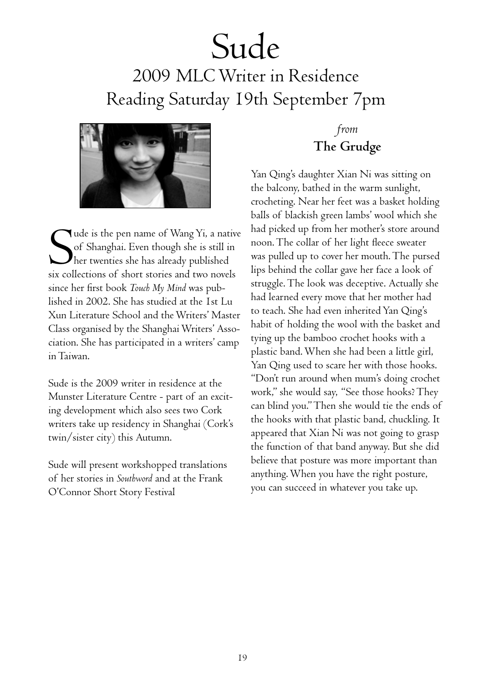# Sude 2009 MLC Writer in Residence Reading Saturday 19th September 7pm



Six cold  $\bigcap$ ude is the pen name of Wang Yi, a native of Shanghai. Even though she is still in her twenties she has already published six collections of short stories and two novels since her first book *Touch My Mind* was published in 2002. She has studied at the 1st Lu Xun Literature School and the Writers' Master Class organised by the Shanghai Writers' Association. She has participated in a writers' camp in Taiwan.

Sude is the 2009 writer in residence at the Munster Literature Centre - part of an exciting development which also sees two Cork writers take up residency in Shanghai (Cork's twin/sister city) this Autumn.

Sude will present workshopped translations of her stories in *Southword* and at the Frank O'Connor Short Story Festival

### *from* **The Grudge**

Yan Qing's daughter Xian Ni was sitting on the balcony, bathed in the warm sunlight, crocheting. Near her feet was a basket holding balls of blackish green lambs' wool which she had picked up from her mother's store around noon. The collar of her light fleece sweater was pulled up to cover her mouth. The pursed lips behind the collar gave her face a look of struggle. The look was deceptive. Actually she had learned every move that her mother had to teach. She had even inherited Yan Qing's habit of holding the wool with the basket and tying up the bamboo crochet hooks with a plastic band. When she had been a little girl, Yan Qing used to scare her with those hooks. "Don't run around when mum's doing crochet work," she would say, "See those hooks? They can blind you." Then she would tie the ends of the hooks with that plastic band, chuckling. It appeared that Xian Ni was not going to grasp the function of that band anyway. But she did believe that posture was more important than anything. When you have the right posture, you can succeed in whatever you take up.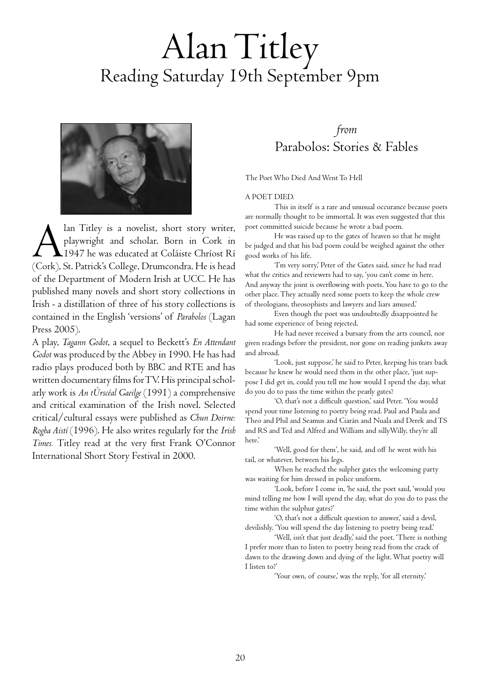# Alan Titley<br>Reading Saturday 19th September 9pm



Alan Titley is a novelist, short story writer,<br>playwright and scholar. Born in Cork in<br>(Cork). St. Patrick's College. Drumcondra. He is head playwright and scholar. Born in Cork in 1947 he was educated at Coláiste Chríost Rí (Cork), St. Patrick's College, Drumcondra. He is head of the Department of Modern Irish at UCC. He has published many novels and short story collections in Irish - a distillation of three of his story collections is contained in the English 'versions' of *Parabolos* (Lagan Press 2005).

A play, *Tagann Godot*, a sequel to Beckett's *En Attendant Godot* was produced by the Abbey in 1990. He has had radio plays produced both by BBC and RTE and has written documentary films for TV. His principal scholarly work is *An tÚrscéal Gaeilge* (1991) a comprehensive and critical examination of the Irish novel. Selected critical/cultural essays were published as *Chun Doirne: Rogha Aistí* (1996). He also writes regularly for the *Irish Times.* Titley read at the very first Frank O'Connor International Short Story Festival in 2000.

#### *from* Parabolos: Stories & Fables

The Poet Who Died And Went To Hell

#### A POET DIED.

This in itself is a rare and unusual occurance because poets are normally thought to be immortal. It was even suggested that this poet committed suicide because he wrote a bad poem.

He was raised up to the gates of heaven so that he might be judged and that his bad poem could be weighed against the other good works of his life.

'I'm very sorry,' Peter of the Gates said, since he had read what the critics and reviewers had to say, 'you can't come in here. And anyway the joint is overflowing with poets. You have to go to the other place. They actually need some poets to keep the whole crew of theologians, theosophists and lawyers and liars amused.'

Even though the poet was undoubtedly disappointed he had some experience of being rejected.

He had never received a bursary from the arts council, nor given readings before the president, nor gone on reading junkets away and abroad.

'Look, just suppose,' he said to Peter, keeping his tears back because he knew he would need them in the other place, 'just suppose I did get in, could you tell me how would I spend the day, what do you do to pass the time within the pearly gates?

'O, that's not a difficult question,' said Peter. 'You would spend your time listening to poetry being read. Paul and Paula and Theo and Phil and Seamus and Ciarán and Nuala and Derek and TS and RS and Ted and Alfred and William and sillyWilly, they're all here.'

'Well, good for them', he said, and off he went with his tail, or whatever, between his legs.

When he reached the sulpher gates the welcoming party was waiting for him dressed in police uniform.

'Look, before I come in, 'he said, the poet said, 'would you mind telling me how I will spend the day, what do you do to pass the time within the sulphur gates?'

'O, that's not a difficult question to answer,' said a devil, devilishly. 'You will spend the day listening to poetry being read.'

'Well, isn't that just deadly,' said the poet. 'There is nothing I prefer more than to listen to poetry being read from the crack of dawn to the drawing down and dying of the light. What poetry will I listen to?'

'Your own, of course,' was the reply, 'for all eternity.'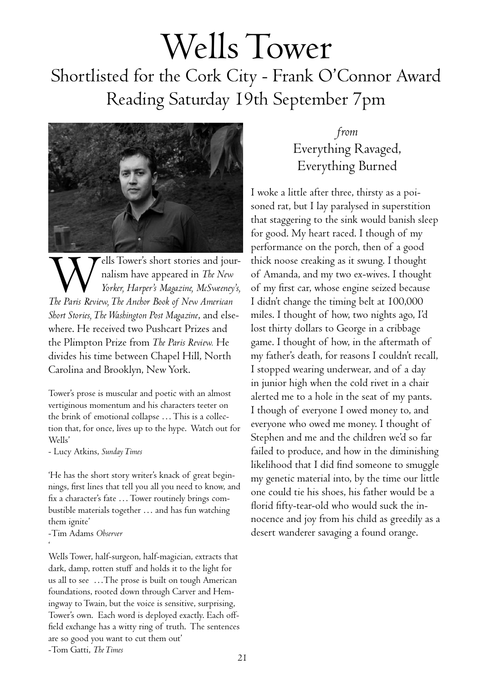# Wells Tower Shortlisted for the Cork City - Frank O'Connor Award Reading Saturday 19th September 7pm



**Wells Tower's short stories and jour-**<br> *The Paris Review, The Anchor Book of New American*<br> *The Paris Review, The Anchor Book of New American* nalism have appeared in *The New Yorker, Harper's Magazine, McSweeney's, Short Stories, The Washington Post Magazine*, and elsewhere. He received two Pushcart Prizes and the Plimpton Prize from *The Paris Review.* He divides his time between Chapel Hill, North Carolina and Brooklyn, New York.

Tower's prose is muscular and poetic with an almost vertiginous momentum and his characters teeter on the brink of emotional collapse … This is a collection that, for once, lives up to the hype. Watch out for Wells'

- Lucy Atkins, *Sunday Times* 

'

'He has the short story writer's knack of great beginnings, first lines that tell you all you need to know, and fix a character's fate … Tower routinely brings combustible materials together … and has fun watching them ignite' -Tim Adams *Observer* 

Wells Tower, half-surgeon, half-magician, extracts that dark, damp, rotten stuff and holds it to the light for us all to see …The prose is built on tough American foundations, rooted down through Carver and Hemingway to Twain, but the voice is sensitive, surprising, Tower's own. Each word is deployed exactly. Each offfield exchange has a witty ring of truth. The sentences are so good you want to cut them out' -Tom Gatti, *The Times* 

*from* Everything Ravaged, Everything Burned

I woke a little after three, thirsty as a poisoned rat, but I lay paralysed in superstition that staggering to the sink would banish sleep for good. My heart raced. I though of my performance on the porch, then of a good thick noose creaking as it swung. I thought of Amanda, and my two ex-wives. I thought of my first car, whose engine seized because I didn't change the timing belt at 100,000 miles. I thought of how, two nights ago, I'd lost thirty dollars to George in a cribbage game. I thought of how, in the aftermath of my father's death, for reasons I couldn't recall, I stopped wearing underwear, and of a day in junior high when the cold rivet in a chair alerted me to a hole in the seat of my pants. I though of everyone I owed money to, and everyone who owed me money. I thought of Stephen and me and the children we'd so far failed to produce, and how in the diminishing likelihood that I did find someone to smuggle my genetic material into, by the time our little one could tie his shoes, his father would be a florid fifty-tear-old who would suck the innocence and joy from his child as greedily as a desert wanderer savaging a found orange.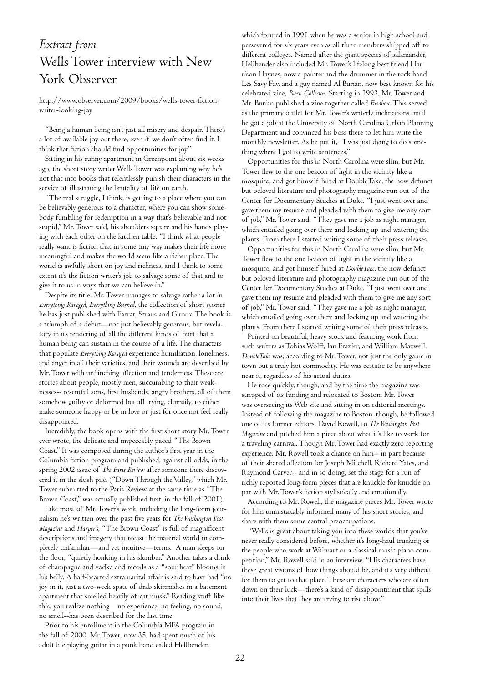### *Extract from* Wells Tower interview with New York Observer

#### http://www.observer.com/2009/books/wells-tower-fictionwriter-looking-joy

 "Being a human being isn't just all misery and despair. There's a lot of available joy out there, even if we don't often find it. I think that fiction should find opportunities for joy."

 Sitting in his sunny apartment in Greenpoint about six weeks ago, the short story writer Wells Tower was explaining why he's not that into books that relentlessly punish their characters in the service of illustrating the brutality of life on earth.

 "The real struggle, I think, is getting to a place where you can be believably generous to a character, where you can show somebody fumbling for redemption in a way that's believable and not stupid," Mr. Tower said, his shoulders square and his hands playing with each other on the kitchen table. "I think what people really want is fiction that in some tiny way makes their life more meaningful and makes the world seem like a richer place. The world is awfully short on joy and richness, and I think to some extent it's the fiction writer's job to salvage some of that and to give it to us in ways that we can believe in."

 Despite its title, Mr. Tower manages to salvage rather a lot in *Everything Ravaged, Everything Burned*, the collection of short stories he has just published with Farrar, Straus and Giroux. The book is a triumph of a debut—not just believably generous, but revelatory in its rendering of all the different kinds of hurt that a human being can sustain in the course of a life. The characters that populate *Everything Ravaged* experience humiliation, loneliness, and anger in all their varieties, and their wounds are described by Mr. Tower with unflinching affection and tenderness. These are stories about people, mostly men, succumbing to their weaknesses-- resentful sons, first husbands, angry brothers, all of them somehow guilty or deformed but all trying, clumsily, to either make someone happy or be in love or just for once not feel really disappointed.

 Incredibly, the book opens with the first short story Mr. Tower ever wrote, the delicate and impeccably paced "The Brown Coast." It was composed during the author's first year in the Columbia fiction program and published, against all odds, in the spring 2002 issue of *The Paris Review* after someone there discovered it in the slush pile. ("Down Through the Valley," which Mr. Tower submitted to the Paris Review at the same time as "The Brown Coast," was actually published first, in the fall of 2001).

 Like most of Mr. Tower's work, including the long-form journalism he's written over the past five years for *The Washington Post Magazine* and *Harper's*, "The Brown Coast" is full of magnificent descriptions and imagery that recast the material world in completely unfamiliar—and yet intuitive—terms. A man sleeps on the floor, "quietly honking in his slumber." Another takes a drink of champagne and vodka and recoils as a "sour heat" blooms in his belly. A half-hearted extramarital affair is said to have had "no joy in it, just a two-week spate of drab skirmishes in a basement apartment that smelled heavily of cat musk." Reading stuff like this, you realize nothing—no experience, no feeling, no sound, no smell--has been described for the last time.

 Prior to his enrollment in the Columbia MFA program in the fall of 2000, Mr. Tower, now 35, had spent much of his adult life playing guitar in a punk band called Hellbender,

which formed in 1991 when he was a senior in high school and persevered for six years even as all three members shipped off to different colleges. Named after the giant species of salamander, Hellbender also included Mr. Tower's lifelong best friend Harrison Haynes, now a painter and the drummer in the rock band Les Savy Fav, and a guy named Al Burian, now best known for his celebrated zine, *Burn Collector*. Starting in 1993, Mr. Tower and Mr. Burian published a zine together called *Foodbox*. This served as the primary outlet for Mr. Tower's writerly inclinations until he got a job at the University of North Carolina Urban Planning Department and convinced his boss there to let him write the monthly newsletter. As he put it, "I was just dying to do something where I got to write sentences."

 Opportunities for this in North Carolina were slim, but Mr. Tower flew to the one beacon of light in the vicinity like a mosquito, and got himself hired at DoubleTake, the now defunct but beloved literature and photography magazine run out of the Center for Documentary Studies at Duke. "I just went over and gave them my resume and pleaded with them to give me any sort of job," Mr. Tower said. "They gave me a job as night manager, which entailed going over there and locking up and watering the plants. From there I started writing some of their press releases.

 Opportunities for this in North Carolina were slim, but Mr. Tower flew to the one beacon of light in the vicinity like a mosquito, and got himself hired at *DoubleTake*, the now defunct but beloved literature and photography magazine run out of the Center for Documentary Studies at Duke. "I just went over and gave them my resume and pleaded with them to give me any sort of job," Mr. Tower said. "They gave me a job as night manager, which entailed going over there and locking up and watering the plants. From there I started writing some of their press releases.

 Printed on beautiful, heavy stock and featuring work from such writers as Tobias Wolff, Ian Frazier, and William Maxwell, *DoubleTake* was, according to Mr. Tower, not just the only game in town but a truly hot commodity. He was ecstatic to be anywhere near it, regardless of his actual duties.

 He rose quickly, though, and by the time the magazine was stripped of its funding and relocated to Boston, Mr. Tower was overseeing its Web site and sitting in on editorial meetings. Instead of following the magazine to Boston, though, he followed one of its former editors, David Rowell, to *The Washington Post Magazine* and pitched him a piece about what it's like to work for a traveling carnival. Though Mr. Tower had exactly zero reporting experience, Mr. Rowell took a chance on him-- in part because of their shared affection for Joseph Mitchell, Richard Yates, and Raymond Carver-- and in so doing, set the stage for a run of richly reported long-form pieces that are knuckle for knuckle on par with Mr. Tower's fiction stylistically and emotionally.

 According to Mr. Rowell, the magazine pieces Mr. Tower wrote for him unmistakably informed many of his short stories, and share with them some central preoccupations.

 "Wells is great about taking you into these worlds that you've never really considered before, whether it's long-haul trucking or the people who work at Walmart or a classical music piano competition," Mr. Rowell said in an interview. "His characters have these great visions of how things should be, and it's very difficult for them to get to that place. These are characters who are often down on their luck—there's a kind of disappointment that spills into their lives that they are trying to rise above."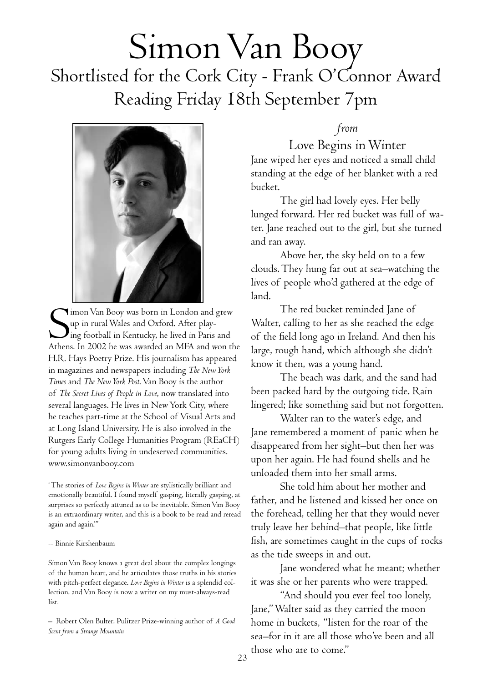# Simon Van Booy<br>Shortlisted for the Cork City - Frank O'Connor Award Reading Friday 18th September 7pm



Simon Van Booy was born in London and grew<br>
up in rural Wales and Oxford. After play-<br>
ing football in Kentucky, he lived in Paris and<br>
Athens. In 2002 he was awarded an MFA and won the imon Van Booy was born in London and grew up in rural Wales and Oxford. After play- $J$ ing football in Kentucky, he lived in Paris and H.R. Hays Poetry Prize. His journalism has appeared in magazines and newspapers including *The New York Times* and *The New York Post*. Van Booy is the author of *The Secret Lives of People in Love*, now translated into several languages. He lives in New York City, where he teaches part-time at the School of Visual Arts and at Long Island University. He is also involved in the Rutgers Early College Humanities Program (REaCH) for young adults living in undeserved communities. www.simonvanbooy.com

' The stories of *Love Begins in Winter* are stylistically brilliant and emotionally beautiful. I found myself gasping, literally gasping, at surprises so perfectly attuned as to be inevitable. Simon Van Booy is an extraordinary writer, and this is a book to be read and reread again and again.'''

-- Binnie Kirshenbaum

Simon Van Booy knows a great deal about the complex longings of the human heart, and he articulates those truths in his stories with pitch-perfect elegance. *Love Begins in Winter* is a splendid collection, and Van Booy is now a writer on my must-always-read list.

– Robert Olen Bulter, Pulitzer Prize-winning author of *A Good Scent from a Strange Mountain* 

#### *from*

Love Begins in Winter

Jane wiped her eyes and noticed a small child standing at the edge of her blanket with a red bucket.

The girl had lovely eyes. Her belly lunged forward. Her red bucket was full of water. Jane reached out to the girl, but she turned and ran away.

Above her, the sky held on to a few clouds. They hung far out at sea–watching the lives of people who'd gathered at the edge of land.

The red bucket reminded Jane of Walter, calling to her as she reached the edge of the field long ago in Ireland. And then his large, rough hand, which although she didn't know it then, was a young hand.

The beach was dark, and the sand had been packed hard by the outgoing tide. Rain lingered; like something said but not forgotten.

Walter ran to the water's edge, and Jane remembered a moment of panic when he disappeared from her sight–but then her was upon her again. He had found shells and he unloaded them into her small arms.

She told him about her mother and father, and he listened and kissed her once on the forehead, telling her that they would never truly leave her behind–that people, like little fish, are sometimes caught in the cups of rocks as the tide sweeps in and out.

Jane wondered what he meant; whether it was she or her parents who were trapped.

"And should you ever feel too lonely, Jane," Walter said as they carried the moon home in buckets, "listen for the roar of the sea–for in it are all those who've been and all those who are to come."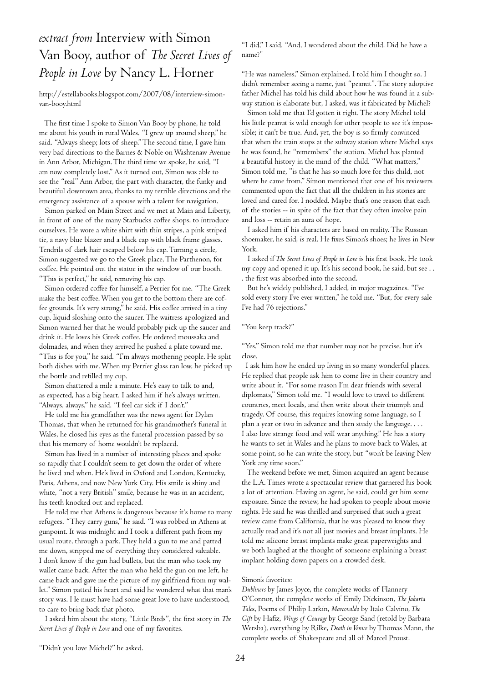### *extract from* Interview with Simon Van Booy, author of *The Secret Lives of People in Love* by Nancy L. Horner

#### http://estellabooks.blogspot.com/2007/08/interview-simonvan-booy.html

 The first time I spoke to Simon Van Booy by phone, he told me about his youth in rural Wales. "I grew up around sheep," he said. "Always sheep; lots of sheep." The second time, I gave him very bad directions to the Barnes & Noble on Washtenaw Avenue in Ann Arbor, Michigan. The third time we spoke, he said, "I am now completely lost." As it turned out, Simon was able to see the "real" Ann Arbor, the part with character, the funky and beautiful downtown area, thanks to my terrible directions and the emergency assistance of a spouse with a talent for navigation.

 Simon parked on Main Street and we met at Main and Liberty, in front of one of the many Starbucks coffee shops, to introduce ourselves. He wore a white shirt with thin stripes, a pink striped tie, a navy blue blazer and a black cap with black frame glasses. Tendrils of dark hair escaped below his cap. Turning a circle, Simon suggested we go to the Greek place, The Parthenon, for coffee. He pointed out the statue in the window of our booth. "This is perfect," he said, removing his cap.

 Simon ordered coffee for himself, a Perrier for me. "The Greek make the best coffee. When you get to the bottom there are coffee grounds. It's very strong," he said. His coffee arrived in a tiny cup, liquid sloshing onto the saucer. The waitress apologized and Simon warned her that he would probably pick up the saucer and drink it. He loves his Greek coffee. He ordered moussaka and dolmades, and when they arrived he pushed a plate toward me. "This is for you," he said. "I'm always mothering people. He split both dishes with me. When my Perrier glass ran low, he picked up the bottle and refilled my cup.

 Simon chattered a mile a minute. He's easy to talk to and, as expected, has a big heart. I asked him if he's always written. "Always, always," he said. "I feel car sick if I don't."

 He told me his grandfather was the news agent for Dylan Thomas, that when he returned for his grandmother's funeral in Wales, he closed his eyes as the funeral procession passed by so that his memory of home wouldn't be replaced.

 Simon has lived in a number of interesting places and spoke so rapidly that I couldn't seem to get down the order of where he lived and when. He's lived in Oxford and London, Kentucky, Paris, Athens, and now New York City. His smile is shiny and white, "not a very British" smile, because he was in an accident, his teeth knocked out and replaced.

 He told me that Athens is dangerous because it's home to many refugees. "They carry guns," he said. "I was robbed in Athens at gunpoint. It was midnight and I took a different path from my usual route, through a park. They held a gun to me and patted me down, stripped me of everything they considered valuable. I don't know if the gun had bullets, but the man who took my wallet came back. After the man who held the gun on me left, he came back and gave me the picture of my girlfriend from my wallet." Simon patted his heart and said he wondered what that man's story was. He must have had some great love to have understood, to care to bring back that photo.

 I asked him about the story, "Little Birds", the first story in *The Secret Lives of People in Love* and one of my favorites.

"I did," I said. "And, I wondered about the child. Did he have a name?"

"He was nameless," Simon explained. I told him I thought so. I didn't remember seeing a name, just "peanut". The story adoptive father Michel has told his child about how he was found in a subway station is elaborate but, I asked, was it fabricated by Michel?

 Simon told me that I'd gotten it right. The story Michel told his little peanut is wild enough for other people to see it's impossible; it can't be true. And, yet, the boy is so firmly convinced that when the train stops at the subway station where Michel says he was found, he "remembers" the station. Michel has planted a beautiful history in the mind of the child. "What matters," Simon told me, "is that he has so much love for this child, not where he came from." Simon mentioned that one of his reviewers commented upon the fact that all the children in his stories are loved and cared for. I nodded. Maybe that's one reason that each of the stories -- in spite of the fact that they often involve pain and loss -- retain an aura of hope.

 I asked him if his characters are based on reality. The Russian shoemaker, he said, is real. He fixes Simon's shoes; he lives in New York.

 I asked if *The Secret Lives of People in Love* is his first book. He took my copy and opened it up. It's his second book, he said, but see . . . the first was absorbed into the second.

 But he's widely published, I added, in major magazines. "I've sold every story I've ever written," he told me. "But, for every sale I've had 76 rejections."

#### "You keep track?"

"Yes." Simon told me that number may not be precise, but it's close.

 I ask him how he ended up living in so many wonderful places. He replied that people ask him to come live in their country and write about it. "For some reason I'm dear friends with several diplomats," Simon told me. "I would love to travel to different countries, meet locals, and then write about their triumph and tragedy. Of course, this requires knowing some language, so I plan a year or two in advance and then study the language. . . . I also love strange food and will wear anything." He has a story he wants to set in Wales and he plans to move back to Wales, at some point, so he can write the story, but "won't be leaving New York any time soon."

 The weekend before we met, Simon acquired an agent because the L.A. Times wrote a spectacular review that garnered his book a lot of attention. Having an agent, he said, could get him some exposure. Since the review, he had spoken to people about movie rights. He said he was thrilled and surprised that such a great review came from California, that he was pleased to know they actually read and it's not all just movies and breast implants. He told me silicone breast implants make great paperweights and we both laughed at the thought of someone explaining a breast implant holding down papers on a crowded desk.

#### Simon's favorites:

*Dubliners* by James Joyce, the complete works of Flannery O'Connor, the complete works of Emily Dickinson, *The Jakarta Tale*s, Poems of Philip Larkin, *Marcovaldo* by Italo Calvino, *The Gift* by Hafiz, *Wings of Courage* by George Sand (retold by Barbara Wersba), everything by Rilke, *Death in Venice* by Thomas Mann, the complete works of Shakespeare and all of Marcel Proust.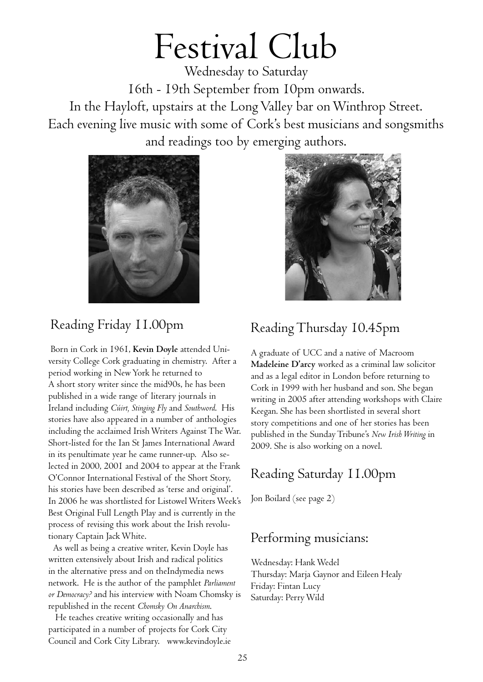# Festival Club

Wednesday to Saturday 16th - 19th September from 10pm onwards. In the Hayloft, upstairs at the Long Valley bar on Winthrop Street. Each evening live music with some of Cork's best musicians and songsmiths and readings too by emerging authors.



# Reading Friday 11.00pm

 Born in Cork in 1961, **Kevin Doyle** attended University College Cork graduating in chemistry. After a period working in New York he returned to A short story writer since the mid90s, he has been published in a wide range of literary journals in Ireland including *Cúirt, Stinging Fly* and *Southword*. His stories have also appeared in a number of anthologies including the acclaimed Irish Writers Against The War. Short-listed for the Ian St James International Award in its penultimate year he came runner-up. Also selected in 2000, 2001 and 2004 to appear at the Frank O'Connor International Festival of the Short Story, his stories have been described as 'terse and original'. In 2006 he was shortlisted for Listowel Writers Week's Best Original Full Length Play and is currently in the process of revising this work about the Irish revolutionary Captain Jack White.

 As well as being a creative writer, Kevin Doyle has written extensively about Irish and radical politics in the alternative press and on theIndymedia news network. He is the author of the pamphlet *Parliament or Democracy?* and his interview with Noam Chomsky is republished in the recent *Chomsky On Anarchism*.

 He teaches creative writing occasionally and has participated in a number of projects for Cork City Council and Cork City Library. www.kevindoyle.ie



# Reading Thursday 10.45pm

A graduate of UCC and a native of Macroom **Madeleine D'arcy** worked as a criminal law solicitor and as a legal editor in London before returning to Cork in 1999 with her husband and son. She began writing in 2005 after attending workshops with Claire Keegan. She has been shortlisted in several short story competitions and one of her stories has been published in the Sunday Tribune's *New Irish Writing* in 2009. She is also working on a novel.

### Reading Saturday 11.00pm

Jon Boilard (see page 2)

### Performing musicians:

Wednesday: Hank Wedel Thursday: Marja Gaynor and Eileen Healy Friday: Fintan Lucy Saturday: Perry Wild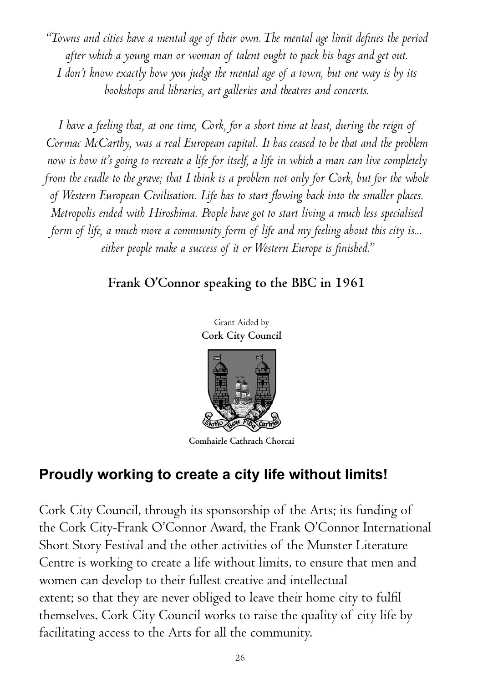*"Towns and cities have a mental age of their own. The mental age limit defines the period after which a young man or woman of talent ought to pack his bags and get out. I don't know exactly how you judge the mental age of a town, but one way is by its bookshops and libraries, art galleries and theatres and concerts.*

*I have a feeling that, at one time, Cork, for a short time at least, during the reign of Cormac McCarthy, was a real European capital. It has ceased to be that and the problem now is how it's going to recreate a life for itself, a life in which a man can live completely from the cradle to the grave; that I think is a problem not only for Cork, but for the whole of Western European Civilisation. Life has to start flowing back into the smaller places. Metropolis ended with Hiroshima. People have got to start living a much less specialised form of life, a much more a community form of life and my feeling about this city is... either people make a success of it or Western Europe is finished."*

### **Frank O'Connor speaking to the BBC in 1961**



Grant Aided by

**Comhairle Cathrach Chorcaí**

# **Proudly working to create a city life without limits!**

Cork City Council, through its sponsorship of the Arts; its funding of the Cork City-Frank O'Connor Award, the Frank O'Connor International Short Story Festival and the other activities of the Munster Literature Centre is working to create a life without limits, to ensure that men and women can develop to their fullest creative and intellectual extent; so that they are never obliged to leave their home city to fulfil themselves. Cork City Council works to raise the quality of city life by facilitating access to the Arts for all the community.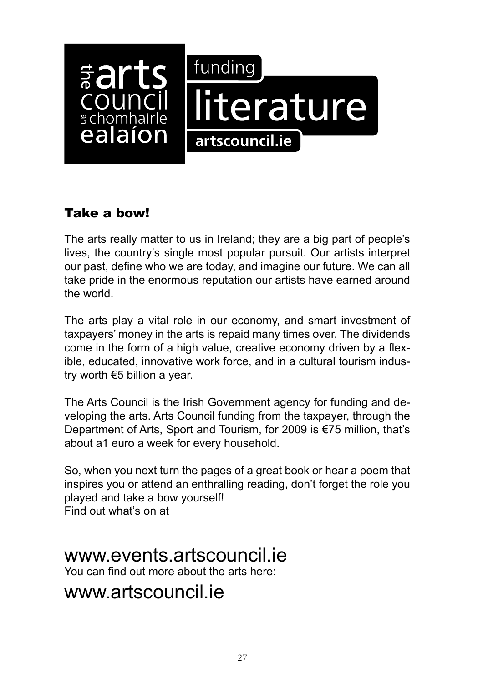

### Take a bow!

The arts really matter to us in Ireland; they are a big part of people's lives, the country's single most popular pursuit. Our artists interpret our past, define who we are today, and imagine our future. We can all take pride in the enormous reputation our artists have earned around the world.

The arts play a vital role in our economy, and smart investment of taxpayers' money in the arts is repaid many times over. The dividends come in the form of a high value, creative economy driven by a flexible, educated, innovative work force, and in a cultural tourism industry worth €5 billion a year.

The Arts Council is the Irish Government agency for funding and developing the arts. Arts Council funding from the taxpayer, through the Department of Arts, Sport and Tourism, for 2009 is €75 million, that's about a1 euro a week for every household.

So, when you next turn the pages of a great book or hear a poem that inspires you or attend an enthralling reading, don't forget the role you played and take a bow yourself! Find out what's on at

# www.events.artscouncil.ie

You can find out more about the arts here:

# www.artscouncil.ie